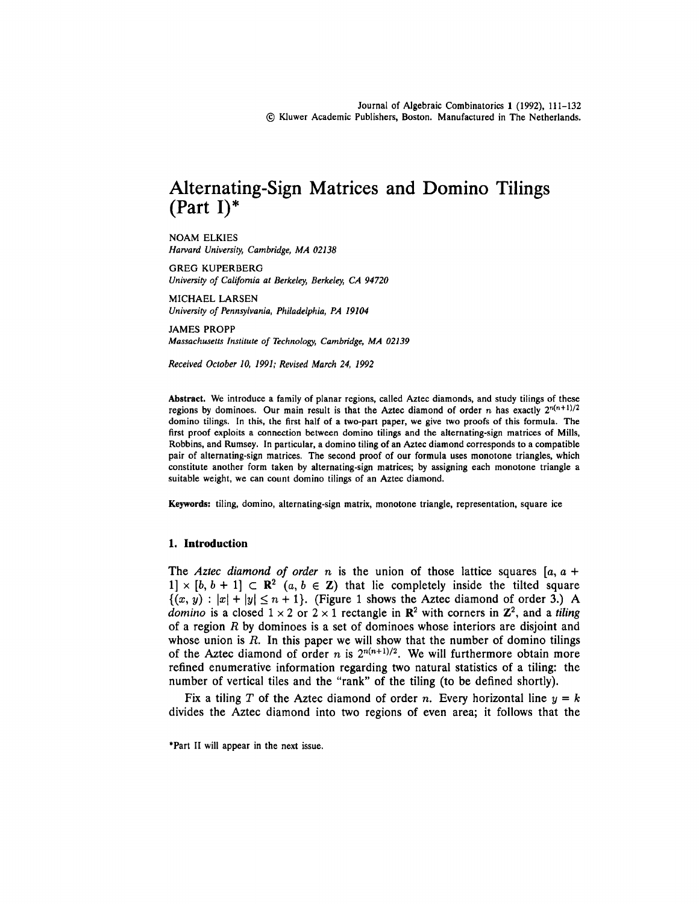# Alternating-Sign Matrices and Domino Tilings (Part I)\*

NOAM ELKIES *Harvard University, Cambridge, MA 02138*

GREG KUPERBERG *University of California at Berkeley, Berkeley, CA 94720*

MICHAEL LARSEN *University of Pennsylvania, Philadelphia, PA 19104*

JAMES PROPP *Massachusetts Institute of Technology, Cambridge, MA 02139*

*Received October 10, 1991; Revised March 24, 1992*

Abstract. We introduce a family of planar regions, called Aztec diamonds, and study tilings of these regions by dominoes. Our main result is that the Aztec diamond of order *n* has exactly  $2^{n(n+1)/2}$ domino tilings. In this, the first half of a two-part paper, we give two proofs of this formula. The first proof exploits a connection between domino tilings and the alternating-sign matrices of Mills, Robbins, and Rumsey. In particular, a domino tiling of an Aztec diamond corresponds to a compatible pair of alternating-sign matrices. The second proof of our formula uses monotone triangles, which constitute another form taken by alternating-sign matrices; by assigning each monotone triangle a suitable weight, we can count domino tilings of an Aztec diamond.

Keywords: tiling, domino, alternating-sign matrix, monotone triangle, representation, square ice

#### **1. Introduction**

The *Aztec diamond of order n* is the union of those lattice squares  $[a, a +$  $1] \times [b, b + 1] \subset \mathbb{R}^2$  (a,  $b \in \mathbb{Z}$ ) that lie completely inside the tilted square  $\{(x, y) : |x| + |y| \le n + 1\}$ . (Figure 1 shows the Aztec diamond of order 3.) A domino is a closed  $1 \times 2$  or  $2 \times 1$  rectangle in  $\mathbb{R}^2$  with corners in  $\mathbb{Z}^2$ , and a *tiling* of a region *R* by dominoes is a set of dominoes whose interiors are disjoint and whose union is R. In this paper we will show that the number of domino tilings of the Aztec diamond of order *n* is  $2^{n(n+1)/2}$ . We will furthermore obtain more refined enumerative information regarding two natural statistics of a tiling: the number of vertical tiles and the "rank" of the tiling (to be defined shortly).

Fix a tiling *T* of the Aztec diamond of order *n.* Every horizontal line *y = k* divides the Aztec diamond into two regions of even area; it follows that the

\*Part II will appear in the next issue.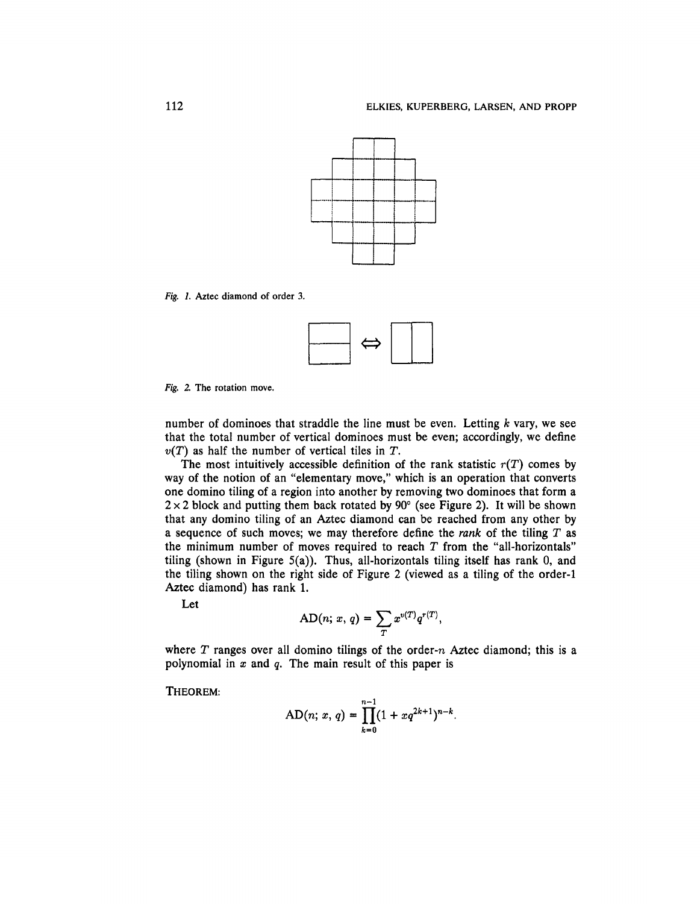

Fig. *1.* Aztec diamond of order 3.



*Fig. 2.* The rotation move.

number of dominoes that straddle the line must be even. Letting *k* vary, we see that the total number of vertical dominoes must be even; accordingly, we define *v(T)* as half the number of vertical tiles in *T.*

The most intuitively accessible definition of the rank statistic  $r(T)$  comes by way of the notion of an "elementary move," which is an operation that converts one domino tiling of a region into another by removing two dominoes that form a  $2 \times 2$  block and putting them back rotated by 90 $^{\circ}$  (see Figure 2). It will be shown that any domino tiling of an Aztec diamond can be reached from any other by a sequence of such moves; we may therefore define the *rank* of the tiling T as the minimum number of moves required to reach *T* from the "all-horizontals" tiling (shown in Figure  $5(a)$ ). Thus, all-horizontals tiling itself has rank 0, and the tiling shown on the right side of Figure 2 (viewed as a tiling of the order-1 Aztec diamond) has rank 1.

Let

$$
AD(n; x, q) = \sum_T x^{v(T)} q^{r(T)},
$$

where *T* ranges over all domino tilings of the order-n Aztec diamond; this is a polynomial in *x* and *q.* The main result of this paper is

THEOREM:

$$
AD(n; x, q) = \prod_{k=0}^{n-1} (1 + xq^{2k+1})^{n-k}.
$$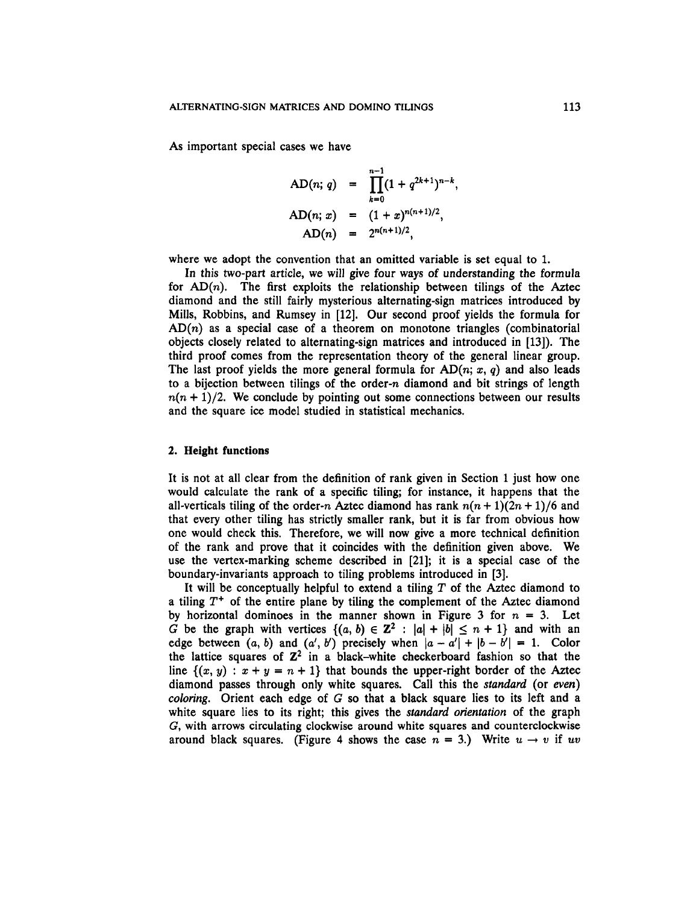As important special cases we have

AD(n; q) = 
$$
\prod_{k=0}^{n-1} (1 + q^{2k+1})^{n-k},
$$
  
AD(n; x) = 
$$
(1 + x)^{n(n+1)/2},
$$
  
AD(n) = 
$$
2^{n(n+1)/2},
$$

where we adopt the convention that an omitted variable is set equal to 1.

In this two-part article, we will give four ways of understanding the formula for  $AD(n)$ . The first exploits the relationship between tilings of the Aztec diamond and the still fairly mysterious alternating-sign matrices introduced by Mills, Robbins, and Rumsey in [12]. Our second proof yields the formula for  $AD(n)$  as a special case of a theorem on monotone triangles (combinatorial objects closely related to alternating-sign matrices and introduced in [13]). The third proof comes from the representation theory of the general linear group. The last proof yields the more general formula for  $AD(n; x, q)$  and also leads to a bijection between tilings of the order-n diamond and bit strings of length  $n(n + 1)/2$ . We conclude by pointing out some connections between our results and the square ice model studied in statistical mechanics.

### **2. Height functions**

It is not at all clear from the definition of rank given in Section 1 just how one would calculate the rank of a specific tiling; for instance, it happens that the all-verticals tiling of the order-n Aztec diamond has rank  $n(n + 1)(2n + 1)/6$  and that every other tiling has strictly smaller rank, but it is far from obvious how one would check this. Therefore, we will now give a more technical definition of the rank and prove that it coincides with the definition given above. We use the vertex-marking scheme described in [21]; it is a special case of the boundary-invariants approach to tiling problems introduced in [3].

It will be conceptually helpful to extend a tiling *T* of the Aztec diamond to a tiling  $T^+$  of the entire plane by tiling the complement of the Aztec diamond by horizontal dominoes in the manner shown in Figure 3 for  $n = 3$ . Let *G* be the graph with vertices  $\{(a, b) \in \mathbb{Z}^2 : |a| + |b| \le n + 1\}$  and with an edge between  $(a, b)$  and  $(a', b')$  precisely when  $|a - a'| + |b - b'| = 1$ . Color the lattice squares of  $\mathbb{Z}^2$  in a black-white checkerboard fashion so that the line  $\{(x, y) : x + y = n + 1\}$  that bounds the upper-right border of the Aztec diamond passes through only white squares. Call this the *standard* (or *even) coloring.* Orient each edge of G so that a black square lies to its left and a white square lies to its right; this gives the *standard orientation* of the graph *G,* with arrows circulating clockwise around white squares and counterclockwise around black squares. (Figure 4 shows the case  $n = 3$ .) Write  $u \rightarrow v$  if  $uv$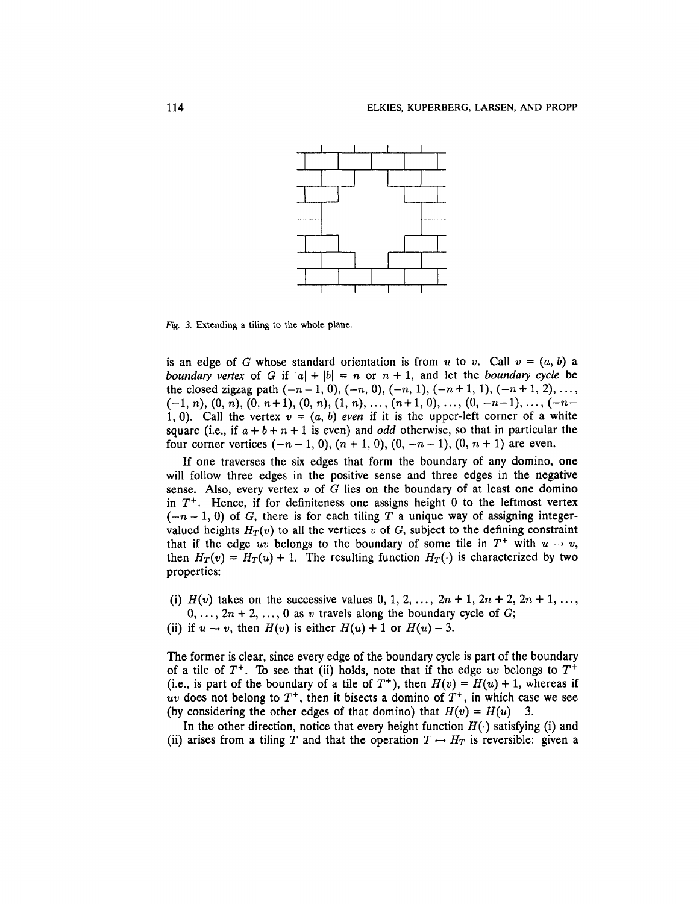

Fig. *3.* Extending a tiling to the whole plane.

is an edge of *G* whose standard orientation is from *u* to *v*. Call  $v = (a, b)$  a *boundary vertex* of *G* if  $|a| + |b| = n$  or  $n + 1$ , and let the *boundary cycle* be the closed zigzag path  $(-n-1, 0)$ ,  $(-n, 0)$ ,  $(-n, 1)$ ,  $(-n+1, 1)$ ,  $(-n+1, 2)$ , ...,  $(-1, n), (0, n), (0, n+1), (0, n), (1, n), \ldots, (n+1, 0), \ldots, (0, -n-1), \ldots, (-n-1)$ 1, 0). Call the vertex  $v = (a, b)$  *even* if it is the upper-left corner of a white square (i.e., if  $a + b + n + 1$  is even) and *odd* otherwise, so that in particular the four corner vertices  $(-n-1, 0)$ ,  $(n + 1, 0)$ ,  $(0, -n-1)$ ,  $(0, n + 1)$  are even.

If one traverses the six edges that form the boundary of any domino, one will follow three edges in the positive sense and three edges in the negative sense. Also, every vertex *v of G* lies on the boundary of at least one domino in *T+.* Hence, if for definiteness one assigns height 0 to the leftmost vertex  $(-n-1, 0)$  of G, there is for each tiling T a unique way of assigning integervalued heights  $H_T(v)$  to all the vertices v of G, subject to the defining constraint that if the edge uv belongs to the boundary of some tile in  $T^+$  with  $u \to v$ , then  $H_T(v) = H_T(u) + 1$ . The resulting function  $H_T(\cdot)$  is characterized by two properties:

- (i)  $H(v)$  takes on the successive values  $0, 1, 2, ..., 2n + 1, 2n + 2, 2n + 1, ...$  $0, \ldots, 2n + 2, \ldots, 0$  as v travels along the boundary cycle of G;
- (ii) if  $u \rightarrow v$ , then  $H(v)$  is either  $H(u) + 1$  or  $H(u) 3$ .

The former is clear, since every edge of the boundary cycle is part of the boundary of a tile of  $T^+$ . To see that (ii) holds, note that if the edge uv belongs to  $T^+$ (i.e., is part of the boundary of a tile of  $T^+$ ), then  $H(v) = H(u) + 1$ , whereas if *uv* does not belong to  $T^+$ , then it bisects a domino of  $T^+$ , in which case we see (by considering the other edges of that domino) that  $H(v) = H(u) - 3$ .

In the other direction, notice that every height function  $H(\cdot)$  satisfying (i) and (ii) arises from a tiling T and that the operation  $T \mapsto H_T$  is reversible: given a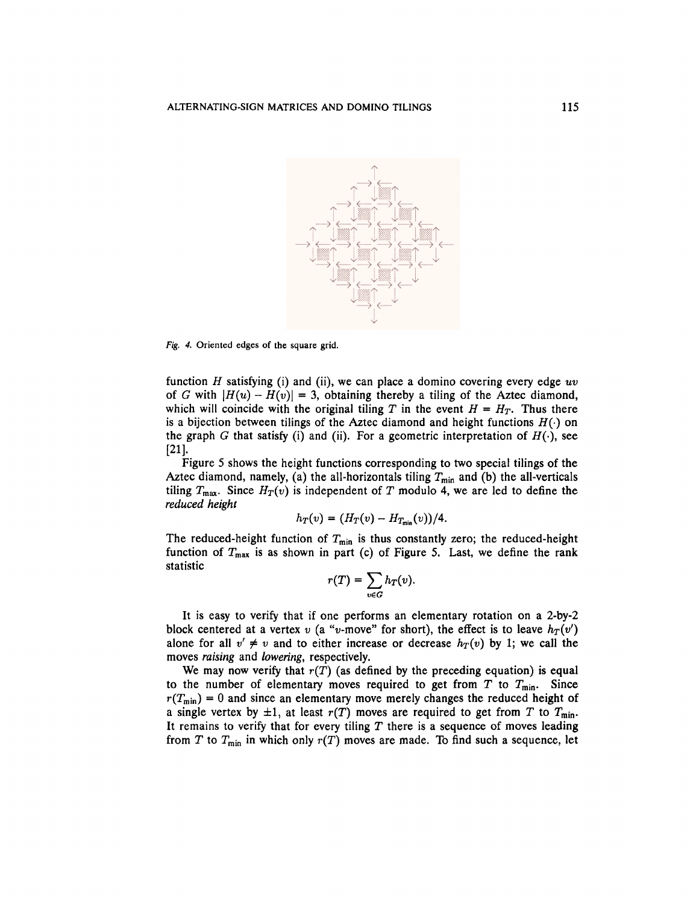

*Fig. 4.* Oriented edges of the square grid.

function *H* satisfying (i) and (ii), we can place a domino covering every edge *uv* of *G* with  $|H(u) - H(v)| = 3$ , obtaining thereby a tiling of the Aztec diamond, which will coincide with the original tiling T in the event  $H = H_T$ . Thus there is a bijection between tilings of the Aztec diamond and height functions *H*(•) on the graph *G* that satisfy (i) and (ii). For a geometric interpretation of  $H(\cdot)$ , see [21].

Figure 5 shows the height functions corresponding to two special tilings of the Aztec diamond, namely, (a) the all-horizontals tiling  $T_{\text{min}}$  and (b) the all-verticals tiling  $T_{\text{max}}$ . Since  $H_T(v)$  is independent of T modulo 4, we are led to define the *reduced height*

$$
h_T(v) = (H_T(v) - H_{T_{\min}}(v))/4.
$$

The reduced-height function of  $T_{\text{min}}$  is thus constantly zero; the reduced-height function of  $T_{\text{max}}$  is as shown in part (c) of Figure 5. Last, we define the rank statistic

$$
r(T) = \sum_{v \in G} h_T(v)
$$

It is easy to verify that if one performs an elementary rotation on a 2-by-2 block centered at a vertex  $v$  (a "v-move" for short), the effect is to leave  $h_T(v')$ alone for all  $v' \neq v$  and to either increase or decrease  $h_T(v)$  by 1; we call the moves *raising* and *lowering,* respectively.

We may now verify that  $r(T)$  (as defined by the preceding equation) is equal to the number of elementary moves required to get from  $T$  to  $T_{\text{min}}$ . Since  $r(T_{min}) = 0$  and since an elementary move merely changes the reduced height of a single vertex by  $\pm 1$ , at least  $r(T)$  moves are required to get from T to  $T_{\text{min}}$ . It remains to verify that for every tiling  $T$  there is a sequence of moves leading from T to  $T_{\min}$  in which only  $r(T)$  moves are made. To find such a sequence, let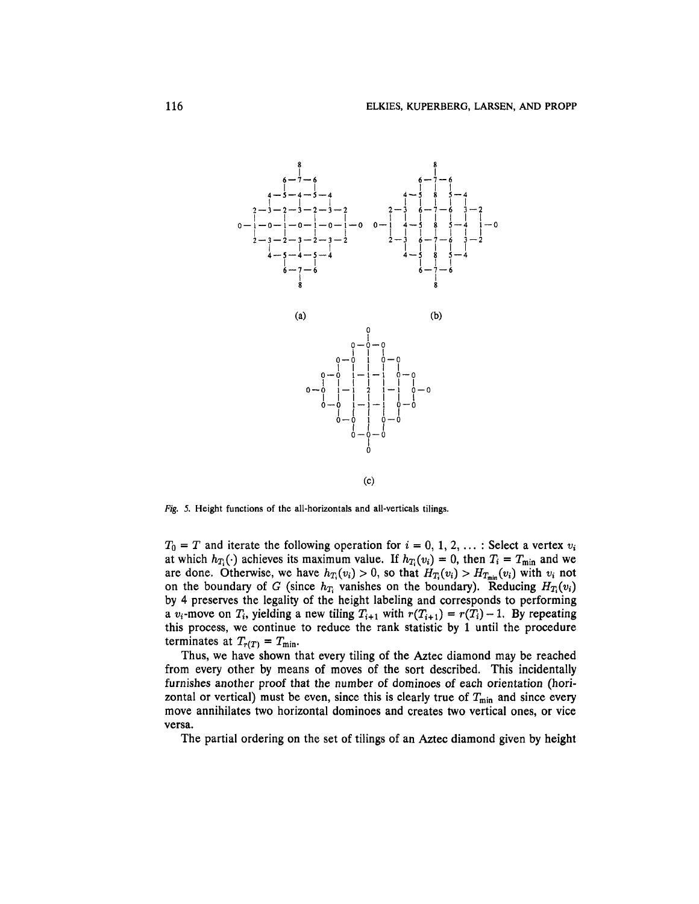

*Fig. 5.* Height functions of the all-horizontals and all-verticals tilings.

 $T_0 = T$  and iterate the following operation for  $i = 0, 1, 2, ...$ : Select a vertex  $v_i$ at which  $h_{T_i}(\cdot)$  achieves its maximum value. If  $h_{T_i}(v_i) = 0$ , then  $T_i = T_{\text{min}}$  and we are done. Otherwise, we have  $h_{T_i}(v_i) > 0$ , so that  $H_{T_i}(v_i) > H_{T_{min}}(v_i)$  with  $v_i$  not on the boundary of G (since  $h_T$  vanishes on the boundary). Reducing  $H_T(v_i)$ by 4 preserves the legality of the height labeling and corresponds to performing a  $v_i$ -move on  $T_i$ , yielding a new tiling  $T_{i+1}$  with  $r(T_{i+1}) = r(T_i) - 1$ . By repeating this process, we continue to reduce the rank statistic by 1 until the procedure terminates at  $T_{r(T)} = T_{\text{min}}$ .

Thus, we have shown that every tiling of the Aztec diamond may be reached from every other by means of moves of the sort described. This incidentally furnishes another proof that the number of dominoes of each orientation (horizontal or vertical) must be even, since this is clearly true of  $T_{\text{min}}$  and since every move annihilates two horizontal dominoes and creates two vertical ones, or vice versa.

The partial ordering on the set of tilings of an Aztec diamond given by height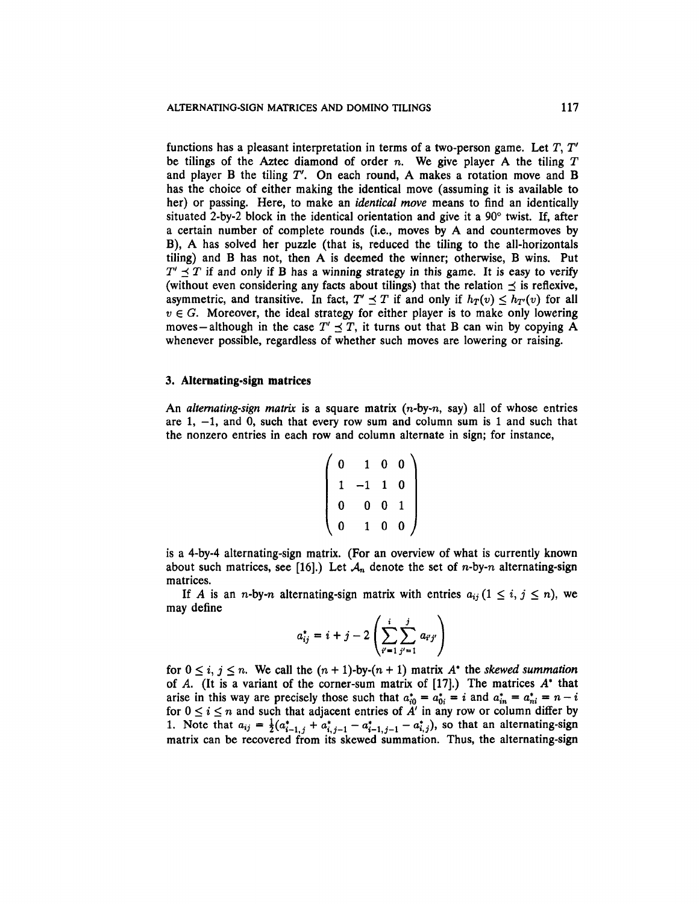functions has a pleasant interpretation in terms of a two-person game. Let T, *T* be tilings of the Aztec diamond of order n. We give player A the tiling *T* and player B the tiling *T'.* On each round, A makes a rotation move and B has the choice of either making the identical move (assuming it is available to her) or passing. Here, to make an *identical move* means to find an identically situated 2-by-2 block in the identical orientation and give it a 90° twist. If, after a certain number of complete rounds (i.e., moves by A and countermoves by B), A has solved her puzzle (that is, reduced the tiling to the all-horizontals tiling) and B has not, then A is deemed the winner; otherwise, B wins. Put  $T' \sim T$  if and only if B has a winning strategy in this game. It is easy to verify (without even considering any facts about tilings) that the relation  $\preceq$  is reflexive, asymmetric, and transitive. In fact,  $T' \preceq T$  if and only if  $h_T(v) \leq h_{T'}(v)$  for all  $v \in G$ . Moreover, the ideal strategy for either player is to make only lowering moves – although in the case  $T' \leq T$ , it turns out that B can win by copying A whenever possible, regardless of whether such moves are lowering or raising.

## **3. Alternating-sign matrices**

An *alternating-sign matrix* is a square matrix (n-by-n, say) all of whose entries are  $1, -1$ , and  $0$ , such that every row sum and column sum is 1 and such that the nonzero entries in each row and column alternate in sign; for instance,

$$
\left(\n\begin{array}{cccc}\n0 & 1 & 0 & 0 \\
1 & -1 & 1 & 0 \\
0 & 0 & 0 & 1 \\
0 & 1 & 0 & 0\n\end{array}\n\right)
$$

is a 4-by-4 alternating-sign matrix. (For an overview of what is currently known about such matrices, see [16].) Let  $A_n$  denote the set of *n*-by-*n* alternating-sign matrices.

If *A* is an *n*-by-*n* alternating-sign matrix with entries  $a_{ij}$  ( $1 \le i, j \le n$ ), we may define

$$
a_{ij}^* = i + j - 2\left(\sum_{i'=1}^i \sum_{j'=1}^j a_{i'j'}\right)
$$

for  $0 \le i, j \le n$ . We call the  $(n + 1)$ -by- $(n + 1)$  matrix  $A^*$  the *skewed summation* of *A.* (It is a variant of the corner-sum matrix of [17].) The matrices *A\** that arise in this way are precisely those such that  $a_{i0}^* = a_{0i}^* = i$  and  $a_{in}^* = a_{ni}^* = n - i$ for  $0 \leq i \leq n$  and such that adjacent entries of  $A'$  in any row or column differ by 1. Note that  $a_{ij} = \frac{1}{2}(a_{i-1,j}^* + a_{i,j-1}^* - a_{i-1,j-1}^* - a_{i,j}^*)$ , so that an alternating-sign matrix can be recovered from its skewed summation. Thus, the alternating-sign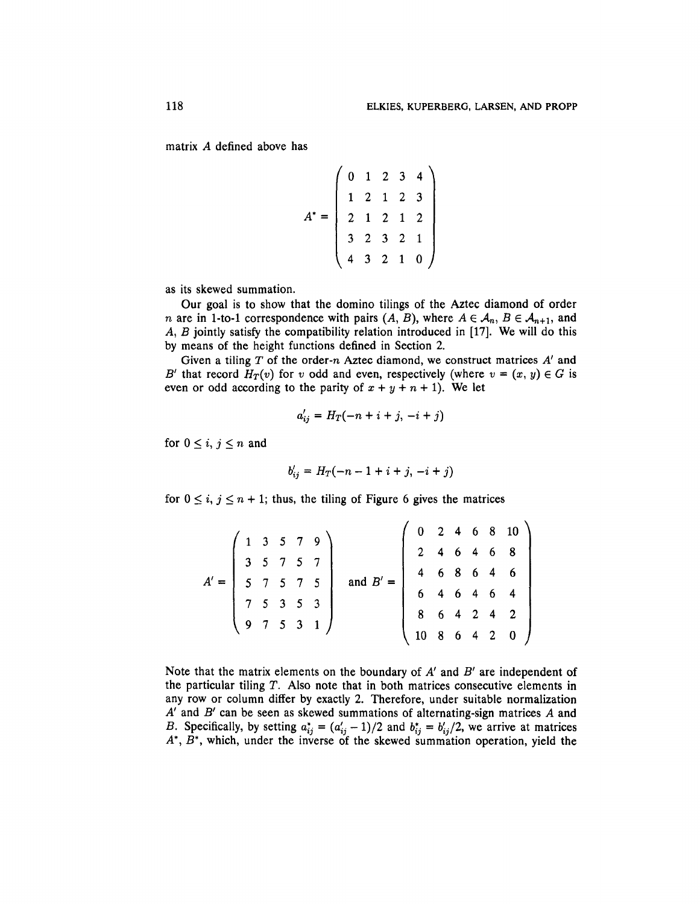matrix *A* defined above has

$$
A^* = \begin{pmatrix} 0 & 1 & 2 & 3 & 4 \\ 1 & 2 & 1 & 2 & 3 \\ 2 & 1 & 2 & 1 & 2 \\ 3 & 2 & 3 & 2 & 1 \\ 4 & 3 & 2 & 1 & 0 \end{pmatrix}
$$

as its skewed summation.

Our goal is to show that the domino tilings of the Aztec diamond of order *n* are in 1-to-1 correspondence with pairs  $(A, B)$ , where  $A \in \mathcal{A}_n$ ,  $B \in \mathcal{A}_{n+1}$ , and *A, B* jointly satisfy the compatibility relation introduced in [17]. We will do this by means of the height functions defined in Section 2.

Given a tiling T of the order-n Aztec diamond, we construct matrices *A'* and *B'* that record  $H_T(v)$  for *v* odd and even, respectively (where  $v = (x, y) \in G$  is even or odd according to the parity of  $x + y + n + 1$ ). We let

$$
a'_{ij} = H_T(-n+i+j, -i+j)
$$

for  $0 \leq i, j \leq n$  and

$$
b'_{ii} = H_T(-n-1+i+j, -i+j)
$$

for  $0 \leq i, j \leq n + 1$ ; thus, the tiling of Figure 6 gives the matrices

|  |  |  |                                                                                                                                                             |  | $\begin{array}{ ccccccccccccccc }\n\hline\n0 & 2 & 4 & 6 & 8 & 10 \\ 2 & 4 & 6 & 4 & 6 & 8 \\ \hline\n\end{array}$ |  |  |  |
|--|--|--|-------------------------------------------------------------------------------------------------------------------------------------------------------------|--|--------------------------------------------------------------------------------------------------------------------|--|--|--|
|  |  |  |                                                                                                                                                             |  |                                                                                                                    |  |  |  |
|  |  |  |                                                                                                                                                             |  | $4$ 6 8 6 4 6<br>6 4 6 4 6 4                                                                                       |  |  |  |
|  |  |  |                                                                                                                                                             |  |                                                                                                                    |  |  |  |
|  |  |  | $A' = \left( \begin{array}{cccc} 1 & 3 & 5 & 7 & 9 \\ 3 & 5 & 7 & 5 & 7 \\ 5 & 7 & 5 & 7 & 5 \\ 7 & 5 & 3 & 5 & 3 \\ 9 & 7 & 5 & 3 & 1 \end{array} \right)$ |  | $\begin{array}{ccccccccc}\n8 & 6 & 4 & 2 & 4 & 2\n\end{array}$                                                     |  |  |  |
|  |  |  |                                                                                                                                                             |  | 1086420                                                                                                            |  |  |  |

Note that the matrix elements on the boundary of *A'* and *B'* are independent of the particular tiling T. Also note that in both matrices consecutive elements in any row or column differ by exactly 2. Therefore, under suitable normalization *A'* and *B'* can be seen as skewed summations of alternating-sign matrices *A* and *B.* Specifically, by setting  $a_{ij}^* = (a_{ij}' - 1)/2$  and  $b_{ij}^* = b_{ij}'/2$ , we arrive at matrices A\*, *B\*,* which, under the inverse of the skewed summation operation, yield the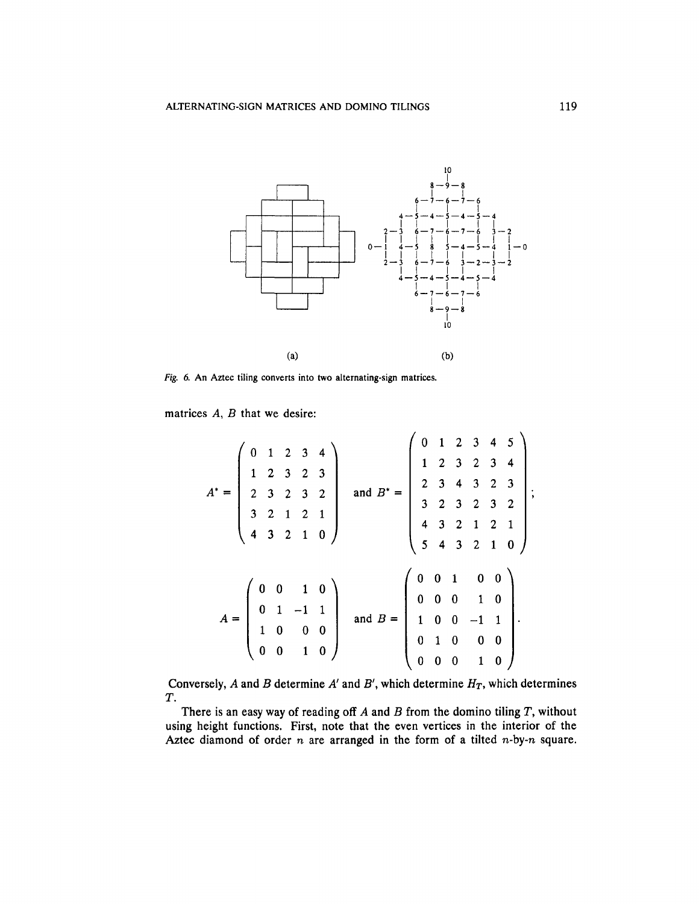

*Fig. 6.* An Aztec tiling converts into two alternating-sign matrices.

matrices A, *B* that we desire:

|  |  |  | $A^* = \begin{pmatrix} 0 & 1 & 2 & 3 & 4 \\ 1 & 2 & 3 & 2 & 3 \\ 2 & 3 & 2 & 3 & 2 \\ 3 & 2 & 1 & 2 & 1 \\ 4 & 3 & 2 & 1 & 0 \end{pmatrix}$ and $B^* = \begin{pmatrix} 0 & 1 & 2 & 3 & 4 & 5 \\ 1 & 2 & 3 & 2 & 3 & 4 \\ 2 & 3 & 4 & 3 & 2 & 3 \\ 3 & 2 & 3 & 2 & 3 & 2 \\ 4 & 3 & 2 & 1 & 2 & 1 \\ 5 & 4 & 3 & 2 & 1 & 0 \end{pmatrix}$ |  |  |  |  |
|--|--|--|------------------------------------------------------------------------------------------------------------------------------------------------------------------------------------------------------------------------------------------------------------------------------------------------------------------------------------------|--|--|--|--|
|  |  |  | $A = \begin{pmatrix} 0 & 0 & 1 & 0 \\ 0 & 1 & -1 & 1 \\ 1 & 0 & 0 & 0 \\ 0 & 0 & 1 & 0 \end{pmatrix}$ and $B = \begin{pmatrix} 0 & 0 & 1 & 0 & 0 \\ 0 & 0 & 0 & 1 & 0 \\ 1 & 0 & 0 & -1 & 1 \\ 0 & 1 & 0 & 0 & 0 \\ 0 & 0 & 0 & 1 & 0 \end{pmatrix}$ .                                                                                   |  |  |  |  |

Conversely,  $A$  and  $B$  determine  $A'$  and  $B'$ , which determine  $H_T$ , which determines *T.*

There is an easy way of reading off *A* and *B* from the domino tiling *T,* without using height functions. First, note that the even vertices in the interior of the Aztec diamond of order *n* are arranged in the form of a tilted n-by-n square.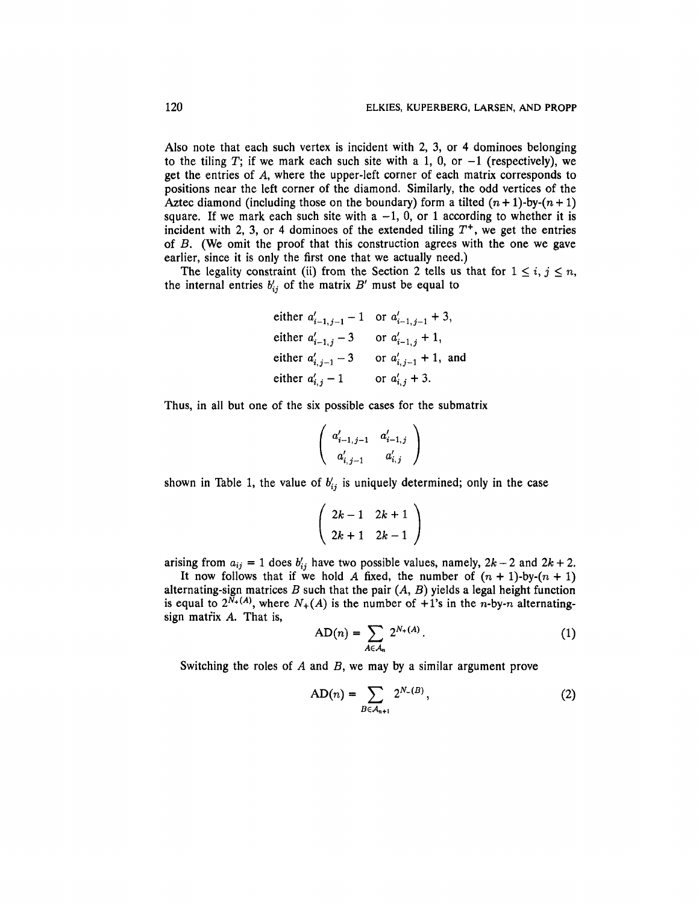Also note that each such vertex is incident with 2, 3, or 4 dominoes belonging to the tiling T; if we mark each such site with a 1, 0, or  $-1$  (respectively), we get the entries of *A,* where the upper-left corner of each matrix corresponds to positions near the left corner of the diamond. Similarly, the odd vertices of the Aztec diamond (including those on the boundary) form a tilted  $(n + 1)$ -by- $(n + 1)$ square. If we mark each such site with a  $-1$ , 0, or 1 according to whether it is incident with 2, 3, or 4 dominoes of the extended tiling  $T^+$ , we get the entries of *B.* (We omit the proof that this construction agrees with the one we gave earlier, since it is only the first one that we actually need.)

The legality constraint (ii) from the Section 2 tells us that for  $1 \leq i, j \leq n$ , the internal entries  $b'_{ij}$  of the matrix  $B'$  must be equal to

either 
$$
a'_{i-1,j-1} - 1
$$
 or  $a'_{i-1,j-1} + 3$ ,  
either  $a'_{i-1,j} - 3$  or  $a'_{i-1,j} + 1$ ,  
either  $a'_{i,j-1} - 3$  or  $a'_{i,j-1} + 1$ , and  
either  $a'_{i,j} - 1$  or  $a'_{i,j} + 3$ .

Thus, in all but one of the six possible cases for the submatrix

$$
\left(\begin{array}{cc}a'_{i-1,\,j-1}&a'_{i-1,\,j}\\a'_{i,\,j-1}&a'_{i,\,j}\end{array}\right)
$$

shown in Table 1, the value of  $b'_{ij}$  is uniquely determined; only in the case

$$
\left(\begin{array}{cc}2k-1&2k+1\\2k+1&2k-1\end{array}\right)
$$

arising from  $a_{ij} = 1$  does  $b'_{ij}$  have two possible values, namely,  $2k - 2$  and  $2k + 2$ .

It now follows that if we hold A fixed, the number of  $(n + 1)$ -by- $(n + 1)$ alternating-sign matrices *B* such that the pair *(A, B)* yields a legal height function is equal to  $2^{N_+(A)}$ , where  $N_+(A)$  is the number of  $+1$ 's in the n-by-n alternatingsign matrix *A.* That is,

$$
AD(n) = \sum_{A \in A_n} 2^{N_+(A)}.
$$
 (1)

Switching the roles of *A* and *B,* we may by a similar argument prove

$$
AD(n) = \sum_{B \in A_{n+1}} 2^{N_{-}(B)},
$$
\n(2)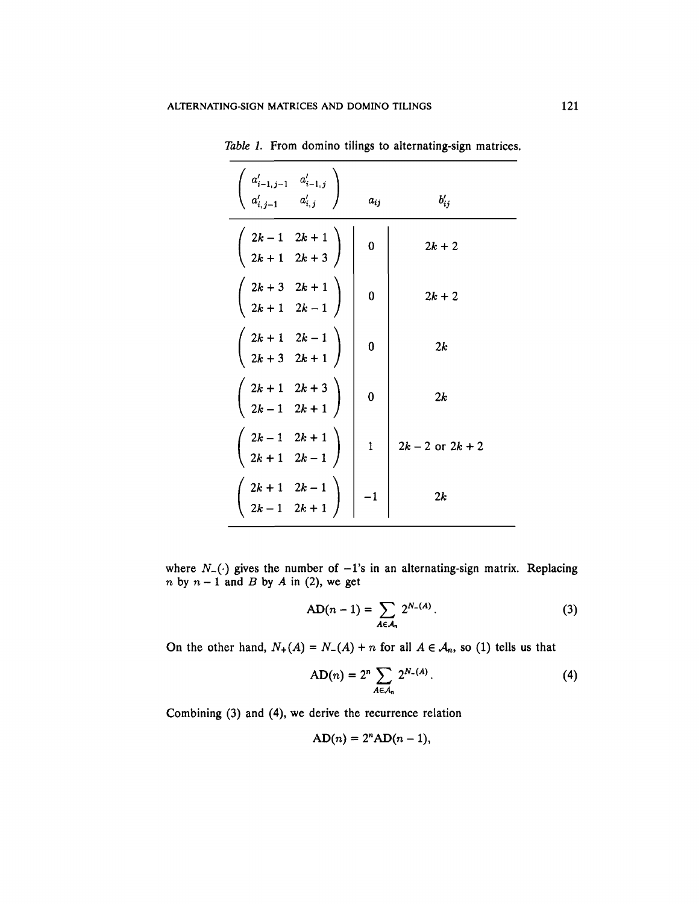| $\left\{ \begin{array}{ccc} a'_{i-1,j-1} & a'_{i-1,j} \ a'_{i,j-1} & a'_{i,j} \end{array} \right\}$ | $a_{ij}$     | $b'_{ij}$            |
|-----------------------------------------------------------------------------------------------------|--------------|----------------------|
| $\left(\begin{array}{cc} 2k-1 & 2k+1 \\ 2k+1 & 2k+3 \end{array}\right)$                             | 0            | $2k + 2$             |
| $\left(\begin{array}{cc} 2k+3 & 2k+1 \\ 2k+1 & 2k-1 \end{array}\right)$                             | 0            | $2k + 2$             |
| $\left(\begin{array}{cc} 2k+1 & 2k-1 \\ 2k+3 & 2k+1 \end{array}\right)$                             | $\bf{0}$     | 2k                   |
| $\left(\begin{array}{cc} 2k+1 & 2k+3 \\ 2k-1 & 2k+1 \end{array}\right)$                             | $\mathbf 0$  | 2k                   |
| $\left(\begin{array}{cc} 2k-1 & 2k+1 \\ 2k+1 & 2k-1 \end{array}\right)$                             | $\mathbf{1}$ | $2k - 2$ or $2k + 2$ |
| $\left(\begin{array}{cc} 2k+1 & 2k-1 \\ 2k-1 & 2k+1 \end{array}\right)$                             | $-1$         | 2k                   |

*Table 1.* From domino tilings to alternating-sign matrices

where  $N_{-}(\cdot)$  gives the number of  $-1$ 's in an alternating-sign matrix. Replacing *n* by  $n-1$  and *B* by *A* in (2), we get

$$
AD(n-1) = \sum_{A \in \mathcal{A}_n} 2^{N_-(A)}.
$$
 (3)

On the other hand,  $N_+(A) = N_-(A) + n$  for all  $A \in \mathcal{A}_n$ , so (1) tells us that

$$
AD(n) = 2^{n} \sum_{A \in \mathcal{A}_{n}} 2^{N_{-}(A)}.
$$
 (4)

Combining (3) and (4), we derive the recurrence relation

$$
AD(n) = 2n AD(n - 1),
$$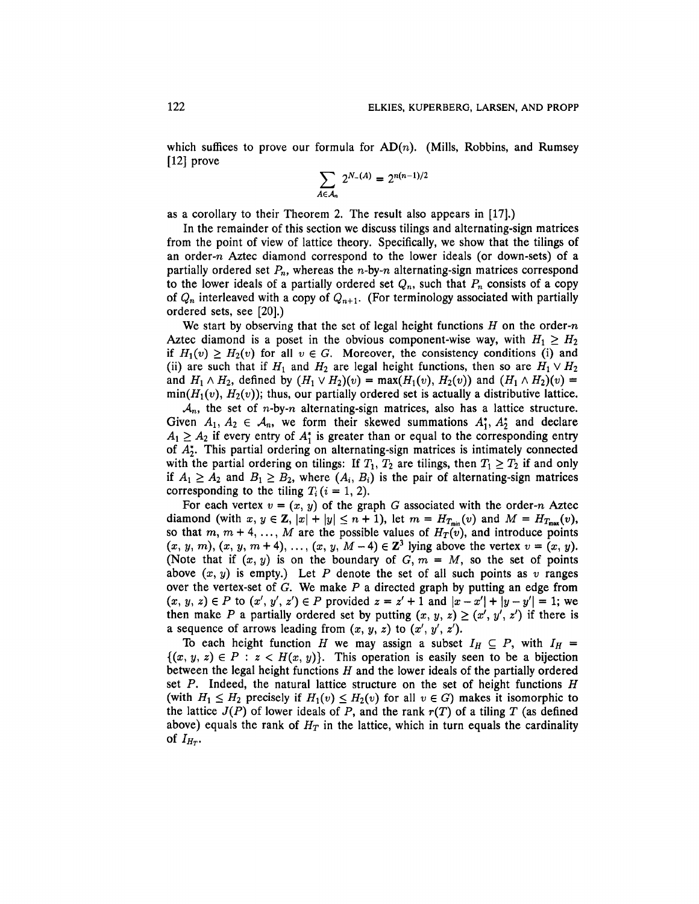which suffices to prove our formula for  $AD(n)$ . (Mills, Robbins, and Rumsey [12] prove

$$
\sum_{A \in \mathcal{A}_n} 2^{N_-(A)} = 2^{n(n-1)/2}
$$

as a corollary to their Theorem 2. The result also appears in [17].)

In the remainder of this section we discuss tilings and alternating-sign matrices from the point of view of lattice theory. Specifically, we show that the tilings of an order-n Aztec diamond correspond to the lower ideals (or down-sets) of a partially ordered set  $P_n$ , whereas the *n*-by-*n* alternating-sign matrices correspond to the lower ideals of a partially ordered set  $Q_n$ , such that  $P_n$  consists of a copy of  $Q_n$  interleaved with a copy of  $Q_{n+1}$ . (For terminology associated with partially ordered sets, see [20].)

We start by observing that the set of legal height functions *H* on the order-n Aztec diamond is a poset in the obvious component-wise way, with  $H_1 \geq H_2$ if  $H_1(v) \ge H_2(v)$  for all  $v \in G$ . Moreover, the consistency conditions (i) and (ii) are such that if  $H_1$  and  $H_2$  are legal height functions, then so are  $H_1 \vee H_2$ and  $H_1 \wedge H_2$ , defined by  $(H_1 \vee H_2)(v) = \max(H_1(v), H_2(v))$  and  $(H_1 \wedge H_2)(v) =$  $min(H_1(v), H_2(v))$ ; thus, our partially ordered set is actually a distributive lattice.

 $A_n$ , the set of *n*-by-*n* alternating-sign matrices, also has a lattice structure. Given  $A_1, A_2 \in \mathcal{A}_n$ , we form their skewed summations  $A_1^*, A_2^*$  and declare  $A_1 \geq A_2$  if every entry of  $A_1^*$  is greater than or equal to the corresponding entry of *A\*2.* This partial ordering on alternating-sign matrices is intimately connected with the partial ordering on tilings: If  $T_1$ ,  $T_2$  are tilings, then  $T_1 \geq T_2$  if and only if  $A_1 \geq A_2$  and  $B_1 \geq B_2$ , where  $(A_i, B_i)$  is the pair of alternating-sign matrices corresponding to the tiling  $T_i$  ( $i = 1, 2$ ).

For each vertex  $v = (x, y)$  of the graph G associated with the order-n Aztec diamond (with  $x, y \in \mathbb{Z}$ ,  $|x| + |y| \leq n + 1$ ), let  $m = H_{T_{min}}(v)$  and  $M = H_{T_{max}}(v)$ , so that  $m, m + 4, ..., M$  are the possible values of  $H_T(v)$ , and introduce points  $(x, y, m)$ ,  $(x, y, m + 4)$ , ...,  $(x, y, M - 4) \in \mathbb{Z}^3$  lying above the vertex  $v = (x, y)$ . (Note that if  $(x, y)$  is on the boundary of  $G, m = M$ , so the set of points above  $(x, y)$  is empty.) Let P denote the set of all such points as  $v$  ranges over the vertex-set of *G.* We make *P* a directed graph by putting an edge from  $(x, y, z) \in P$  to  $(x', y', z') \in P$  provided  $z = z' + 1$  and  $|x - x'| + |y - y'| = 1$ ; we then make P a partially ordered set by putting  $(x, y, z) \ge (x', y', z')$  if there is a sequence of arrows leading from  $(x, y, z)$  to  $(x', y', z')$ .

To each height function *H* we may assign a subset  $I_H \subseteq P$ , with  $I_H =$  ${(x, y, z) \in P : z < H(x, y)}$ . This operation is easily seen to be a bijection between the legal height functions *H* and the lower ideals of the partially ordered set *P.* Indeed, the natural lattice structure on the set of height functions *H* (with  $H_1 \leq H_2$  precisely if  $H_1(v) \leq H_2(v)$  for all  $v \in G$ ) makes it isomorphic to the lattice  $J(P)$  of lower ideals of P, and the rank  $r(T)$  of a tiling T (as defined above) equals the rank of  $H_T$  in the lattice, which in turn equals the cardinality of  $I_{H_T}$ .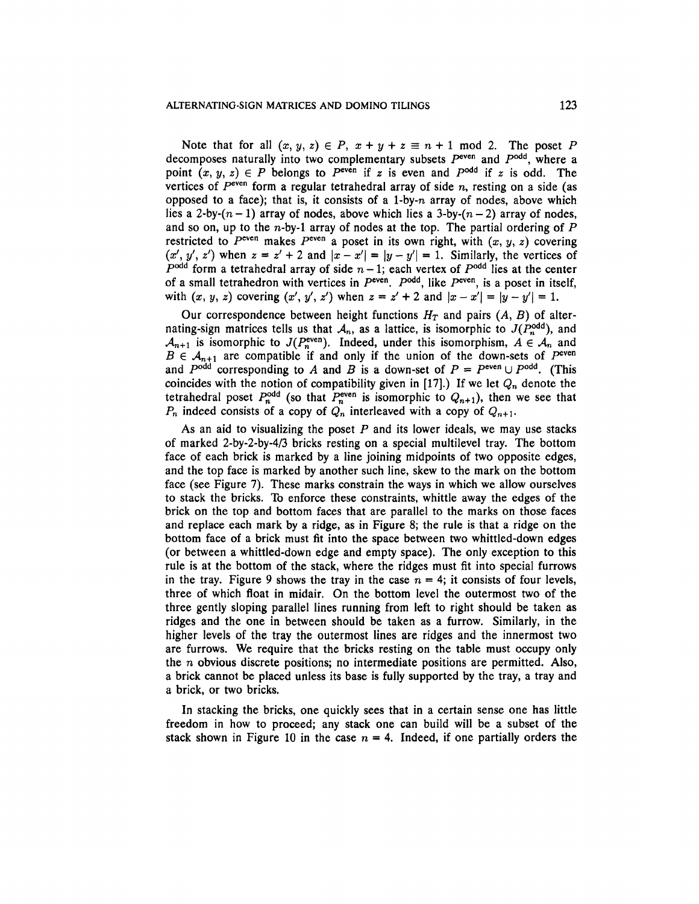Note that for all  $(x, y, z) \in P$ ,  $x + y + z \equiv n + 1 \mod 2$ . The poset P decomposes naturally into two complementary subsets  $P<sup>even</sup>$  and  $P<sup>odd</sup>$ , where a point  $(x, y, z) \in P$  belongs to  $P^{\text{even}}$  if z is even and  $P^{\text{odd}}$  if z is odd. The vertices of P<sup>even</sup> form a regular tetrahedral array of side *n*, resting on a side (as opposed to a face); that is, it consists of a 1-by- $n$  array of nodes, above which lies a 2-by- $(n-1)$  array of nodes, above which lies a 3-by- $(n-2)$  array of nodes, and so on, up to the n-by-1 array of nodes at the top. The partial ordering of *P* restricted to  $P^{\text{even}}$  makes  $P^{\text{even}}$  a poset in its own right, with  $(x, y, z)$  covering  $(x', y', z')$  when  $z = z' + 2$  and  $|x - x'| = |y - y'| = 1$ . Similarly, the vertices of  $P<sup>odd</sup>$  form a tetrahedral array of side  $n-1$ ; each vertex of  $P<sup>odd</sup>$  lies at the center of a small tetrahedron with vertices in  $P^{even}$ .  $P^{odd}$ , like  $P^{even}$ , is a poset in itself, with  $(x, y, z)$  covering  $(x', y', z')$  when  $z = z' + 2$  and  $|x - x'| = |y - y'| = 1$ .

Our correspondence between height functions  $H_T$  and pairs  $(A, B)$  of alternating-sign matrices tells us that  $A_n$ , as a lattice, is isomorphic to  $J(P_n^{\text{odd}})$ , and  $A_{n+1}$  is isomorphic to  $J(P_n^{\text{even}})$ . Indeed, under this isomorphism,  $A \in \mathcal{A}_n$  and  $B \in \mathcal{A}_{n+1}$  are compatible if and only if the union of the down-sets of  $P^{\text{even}}$ and  $P^{odd}$  corresponding to A and B is a down-set of  $P = P^{even} \cup P^{odd}$ . (This coincides with the notion of compatibility given in [17].) If we let  $Q_n$  denote the tetrahedral poset  $P_n^{\text{odd}}$  (so that  $P_n^{\text{even}}$  is isomorphic to  $Q_{n+1}$ ), then we see that  $P_n$  indeed consists of a copy of  $Q_n$  interleaved with a copy of  $Q_{n+1}$ *.* 

As an aid to visualizing the poset  $P$  and its lower ideals, we may use stacks of marked 2-by-2-by-4/3 bricks resting on a special multilevel tray. The bottom face of each brick is marked by a line joining midpoints of two opposite edges, and the top face is marked by another such line, skew to the mark on the bottom face (see Figure 7). These marks constrain the ways in which we allow ourselves to stack the bricks. To enforce these constraints, whittle away the edges of the brick on the top and bottom faces that are parallel to the marks on those faces and replace each mark by a ridge, as in Figure 8; the rule is that a ridge on the bottom face of a brick must fit into the space between two whittled-down edges (or between a whittled-down edge and empty space). The only exception to this rule is at the bottom of the stack, where the ridges must fit into special furrows in the tray. Figure 9 shows the tray in the case  $n = 4$ ; it consists of four levels, three of which float in midair. On the bottom level the outermost two of the three gently sloping parallel lines running from left to right should be taken as ridges and the one in between should be taken as a furrow. Similarly, in the higher levels of the tray the outermost lines are ridges and the innermost two are furrows. We require that the bricks resting on the table must occupy only the *n* obvious discrete positions; no intermediate positions are permitted. Also, a brick cannot be placed unless its base is fully supported by the tray, a tray and a brick, or two bricks.

In stacking the bricks, one quickly sees that in a certain sense one has little freedom in how to proceed; any stack one can build will be a subset of the stack shown in Figure 10 in the case  $n = 4$ . Indeed, if one partially orders the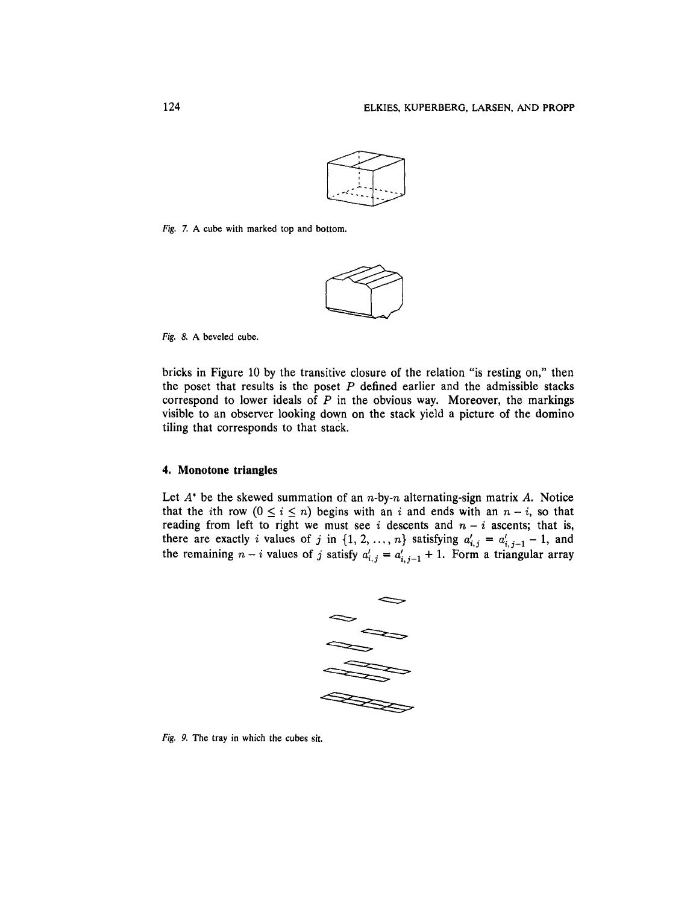

Fig. 7. A cube with marked top and bottom.



Fig. 8. A beveled cube.

bricks in Figure 10 by the transitive closure of the relation "is resting on," then the poset that results is the poset *P* defined earlier and the admissible stacks correspond to lower ideals of *P* in the obvious way. Moreover, the markings visible to an observer looking down on the stack yield a picture of the domino tiling that corresponds to that stack.

## **4. Monotone triangles**

Let *A"* be the skewed summation of an n-by-n alternating-sign matrix *A.* Notice that the *i*th row  $(0 \le i \le n)$  begins with an *i* and ends with an  $n - i$ , so that reading from left to right we must see  $i$  descents and  $n - i$  ascents; that is, there are exactly *i* values of *j* in  $\{1, 2, ..., n\}$  satisfying  $a'_{i,j} = a'_{i,j-1} - 1$ , and the remaining  $n - i$  values of j satisfy  $a'_{i,j} = a'_{i,j-1} + 1$ . Form a triangular array



Fig. *9.* The tray in which the cubes sit.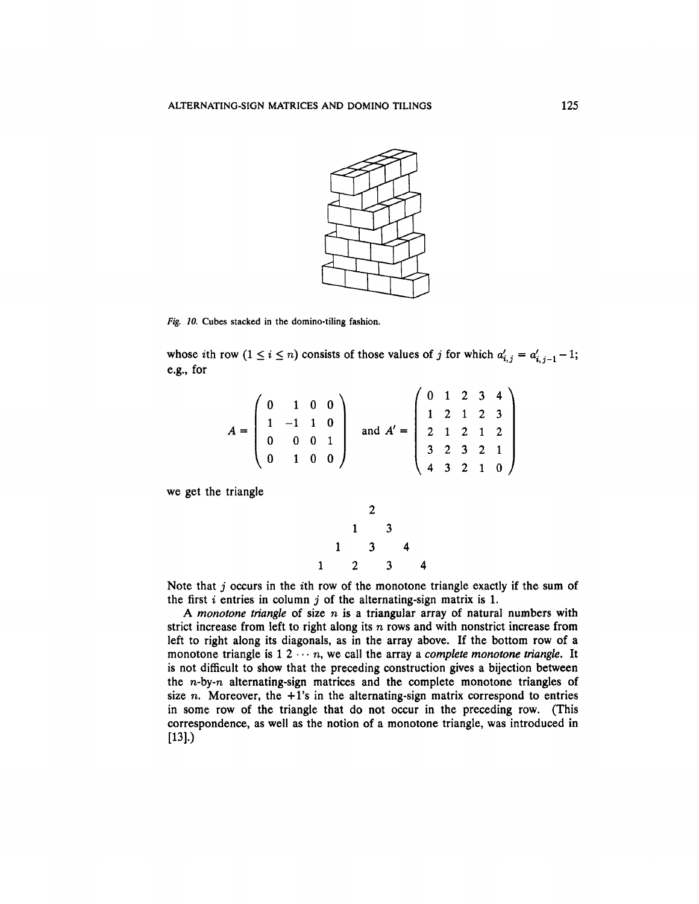

*Fig. 10.* Cubes stacked in the domino-tiling fashion.

whose ith row  $(1 \le i \le n)$  consists of those values of *j* for which  $a'_{i,j} = a'_{i,j-1} - 1$ ; e.g., for

 $\overline{ }$ 

$$
A = \begin{pmatrix} 0 & 1 & 0 & 0 \\ 1 & -1 & 1 & 0 \\ 0 & 0 & 0 & 1 \\ 0 & 1 & 0 & 0 \end{pmatrix} \text{ and } A' = \begin{pmatrix} 0 & 1 & 2 & 3 & 4 \\ 1 & 2 & 1 & 2 & 3 \\ 2 & 1 & 2 & 1 & 2 \\ 3 & 2 & 3 & 2 & 1 \\ 4 & 3 & 2 & 1 & 0 \end{pmatrix}
$$

we get the triangle

$$
\begin{array}{cccc}\n & 2 \\
 & 1 & 3 \\
 & 1 & 3 & 4 \\
1 & 2 & 3 & 4\n\end{array}
$$

Note that *j* occurs in the ith row of the monotone triangle exactly if the sum of the first *i* entries in column *j* of the alternating-sign matrix is 1.

A *monotone triangle* of size n is a triangular array of natural numbers with strict increase from left to right along its *n* rows and with nonstrict increase from left to right along its diagonals, as in the array above. If the bottom row of a monotone triangle is  $1 \, 2 \, \cdots \, n$ , we call the array a *complete monotone triangle*. It is not difficult to show that the preceding construction gives a bijection between the  $n$ -by- $n$  alternating-sign matrices and the complete monotone triangles of size n. Moreover, the  $+1$ 's in the alternating-sign matrix correspond to entries in some row of the triangle that do not occur in the preceding row. (This correspondence, as well as the notion of a monotone triangle, was introduced in [13].)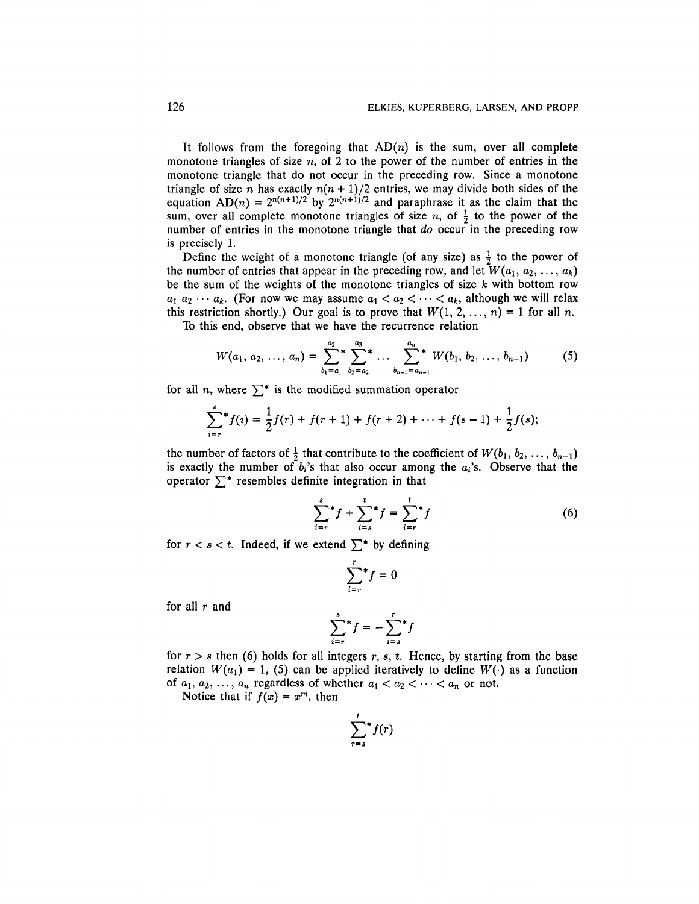It follows from the foregoing that  $AD(n)$  is the sum, over all complete monotone triangles of size  $n$ , of 2 to the power of the number of entries in the monotone triangle that do not occur in the preceding row. Since a monotone triangle of size *n* has exactly *n(n +* 1)/2 entries, we may divide both sides of the equation  $AD(n) = 2^{n(n+1)/2}$  by  $2^{n(n+1)/2}$  and paraphrase it as the claim that the sum, over all complete monotone triangles of size *n*, of  $\frac{1}{2}$  to the power of the number of entries in the monotone triangle that *do* occur in the preceding row is precisely 1.

Define the weight of a monotone triangle (of any size) as  $\frac{1}{2}$  to the power of the number of entries that appear in the preceding row, and let  $W(a_1, a_2, ..., a_k)$ be the sum of the weights of the monotone triangles of size *k* with bottom row  $a_1 a_2 \cdots a_k$ . (For now we may assume  $a_1 < a_2 < \cdots < a_k$ , although we will relax this restriction shortly.) Our goal is to prove that  $W(1, 2, ..., n) = 1$  for all n.

To this end, observe that we have the recurrence relation

$$
W(a_1, a_2, \ldots, a_n) = \sum_{b_1=a_1}^{a_2} \sum_{b_2=a_2}^{a_3} \cdots \sum_{b_{n-1}=a_{n-1}}^{a_n} W(b_1, b_2, \ldots, b_{n-1})
$$
 (5)

for all n, where  $\sum^*$  is the modified summation operator

$$
\sum_{i=r}^{s} f(i) = \frac{1}{2}f(r) + f(r+1) + f(r+2) + \cdots + f(s-1) + \frac{1}{2}f(s);
$$

the number of factors of  $\frac{1}{2}$  that contribute to the coefficient of  $W(b_1, b_2, \ldots, b_{n-1})$ is exactly the number of  $b_i$ 's that also occur among the  $a_i$ 's. Observe that the operator  $\sum^*$  resembles definite integration in that

$$
\sum_{i=r}^{s} f + \sum_{i=s}^{t} f = \sum_{i=r}^{t} f
$$
 (6)

for  $r < s < t$ . Indeed, if we extend  $\sum^*$  by defining

$$
\sum_{i=r}^{r} f = 0
$$

for all *r* and

$$
\sum_{i=r}^{s} f = -\sum_{i=s}^{r} f
$$

for  $r > s$  then (6) holds for all integers  $r, s, t$ . Hence, by starting from the base relation  $W(a_1) = 1$ , (5) can be applied iteratively to define  $W(\cdot)$  as a function of  $a_1, a_2, \ldots, a_n$  regardless of whether  $a_1 < a_2 < \cdots < a_n$  or not.

Notice that if  $f(x) = x^m$ , then

$$
\sum_{r=s}^t f(r)
$$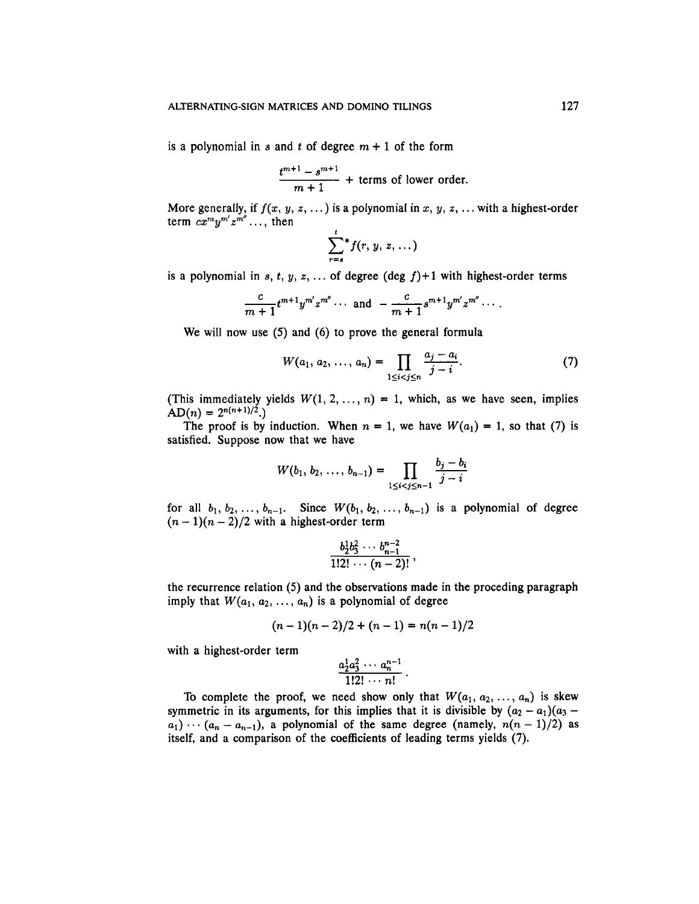is a polynomial in *s* and *t* of degree  $m + 1$  of the form

$$
\frac{t^{m+1}-s^{m+1}}{m+1}
$$
 + terms of lower order.

More generally, if  $f(x, y, z, ...)$  is a polynomial in x, y, z, ... with a highest-order term  $cx^m y^{m'} z^{m''} \dots$ , then

$$
\sum_{r=s}^{\iota} f(r, y, z, \dots)
$$

is a polynomial in  $s, t, y, z, \ldots$  of degree (deg  $f$ )+1 with highest-order terms

$$
\frac{c}{m+1}t^{m+1}y^{m'}z^{m''}\cdots \text{ and } -\frac{c}{m+1}s^{m+1}y^{m'}z^{m''}\cdots
$$

We will now use (5) and (6) to prove the general formula

$$
W(a_1, a_2, \ldots, a_n) = \prod_{1 \leq i < j \leq n} \frac{a_j - a_i}{j - i}.\tag{7}
$$

(This immediately yields  $W(1, 2, ..., n) = 1$ , which, as we have seen, implies  $AD(n) = 2^{n(n+1)/2}$ .

The proof is by induction. When  $n = 1$ , we have  $W(a_1) = 1$ , so that (7) is satisfied. Suppose now that we have

$$
W(b_1, b_2, \ldots, b_{n-1}) = \prod_{1 \leq i < j \leq n-1} \frac{b_j - b_i}{j - i}
$$

for all  $b_1, b_2, \ldots, b_{n-1}$ . Since  $W(b_1, b_2, \ldots, b_{n-1})$  is a polynomial of degree  $(n-1)(n-2)/2$  with a highest-order term

$$
\frac{b_2^1b_3^2\cdots b_{n-1}^{n-2}}{1!2!\cdots (n-2)!},
$$

the recurrence relation (5) and the observations made in the proceding paragraph imply that  $W(a_1, a_2, \ldots, a_n)$  is a polynomial of degree

$$
(n-1)(n-2)/2 + (n-1) = n(n-1)/2
$$

with a highest-order term

$$
\frac{a_2^1a_3^2\cdots a_n^{n-1}}{1!2!\cdots n!}
$$

To complete the proof, we need show only that  $W(a_1, a_2, \ldots, a_n)$  is skew symmetric in its arguments, for this implies that it is divisible by  $(a_2 - a_1)(a_3 - a_2)$  $a_1$ )  $\cdots$  ( $a_n - a_{n-1}$ ), a polynomial of the same degree (namely,  $n(n-1)/2$ ) as itself, and a comparison of the coefficients of leading terms yields (7).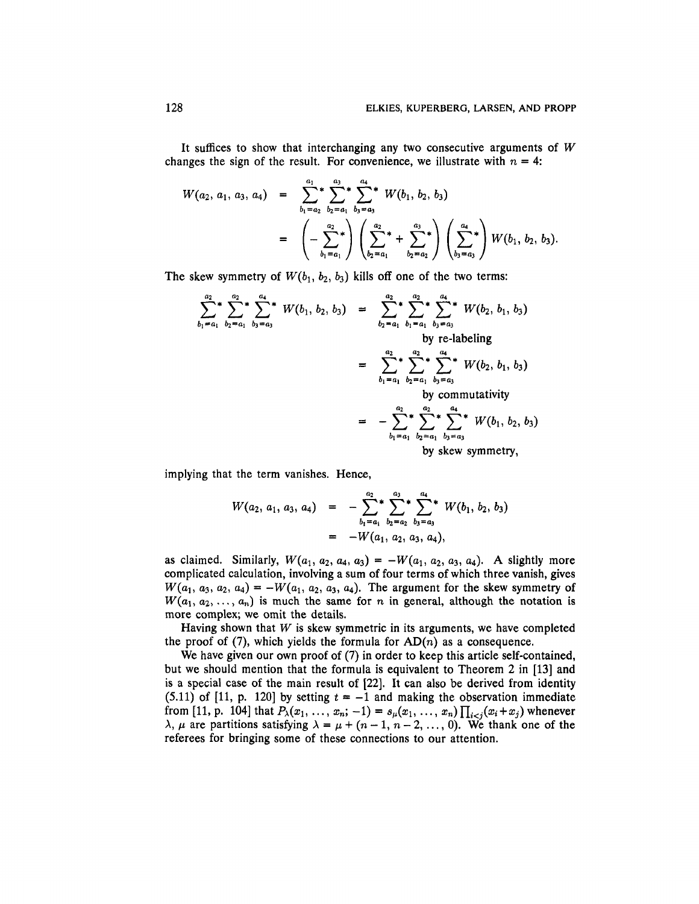It suffices to show that interchanging any two consecutive arguments of *W* changes the sign of the result. For convenience, we illustrate with  $n = 4$ :

$$
W(a_2, a_1, a_3, a_4) = \sum_{b_1=a_2}^{a_1} \sum_{b_2=a_1}^{a_3} \sum_{b_3=a_3}^{a_4} W(b_1, b_2, b_3)
$$
  
= 
$$
\left(-\sum_{b_1=a_1}^{a_2}\right) \left(\sum_{b_2=a_1}^{a_2} + \sum_{b_2=a_2}^{a_3}\right) \left(\sum_{b_3=a_3}^{a_4}\right) W(b_1, b_2, b_3).
$$

The skew symmetry of  $W(b_1, b_2, b_3)$  kills off one of the two terms:

$$
\sum_{b_1=a_1}^{a_2} \sum_{b_2=a_1}^{a_2} \sum_{b_3=a_3}^{a_4} W(b_1, b_2, b_3) = \sum_{b_2=a_1}^{a_2} \sum_{b_1=a_1}^{a_2} \sum_{b_3=a_3}^{a_3} W(b_2, b_1, b_3)
$$
  
\nby re-labeling  
\n
$$
= \sum_{b_1=a_1}^{a_2} \sum_{b_2=a_1}^{a_2} \sum_{b_3=a_3}^{a_3} W(b_2, b_1, b_3)
$$
  
\nby commutativity  
\n
$$
= -\sum_{b_1=a_1}^{a_2} \sum_{b_2=a_1}^{a_3} \sum_{b_3=a_3}^{a_4} W(b_1, b_2, b_3)
$$
  
\nby commutativity  
\nby skew symmetry,

implying that the term vanishes. Hence,

$$
W(a_2, a_1, a_3, a_4) = -\sum_{b_1=a_1}^{a_2} \sum_{b_2=a_2}^{a_3} \sum_{b_3=a_3}^{a_4} W(b_1, b_2, b_3)
$$
  
= -W(a<sub>1</sub>, a<sub>2</sub>, a<sub>3</sub>, a<sub>4</sub>),

as claimed. Similarly,  $W(a_1, a_2, a_4, a_3) = -W(a_1, a_2, a_3, a_4)$ . A slightly more complicated calculation, involving a sum of four terms of which three vanish, gives  $W(a_1, a_3, a_2, a_4) = -W(a_1, a_2, a_3, a_4)$ . The argument for the skew symmetry of  $W(a_1, a_2, \ldots, a_n)$  is much the same for *n* in general, although the notation is more complex; we omit the details.

Having shown that *W* is skew symmetric in its arguments, we have completed the proof of (7), which yields the formula for  $AD(n)$  as a consequence.

We have given our own proof of (7) in order to keep this article self-contained, but we should mention that the formula is equivalent to Theorem 2 in [13] and is a special case of the main result of [22], It can also be derived from identity (5.11) of [11, p. 120] by setting  $t = -1$  and making the observation immediate from [11, p. 104] that  $P_{\lambda}(x_1, \ldots, x_n; -1) = s_{\mu}(x_1, \ldots, x_n) \prod_{i < j} (x_i + x_j)$  whenever  $\lambda$ ,  $\mu$  are partitions satisfying  $\lambda = \mu + (n-1, n-2, \ldots, 0)$ . We thank one of the referees for bringing some of these connections to our attention.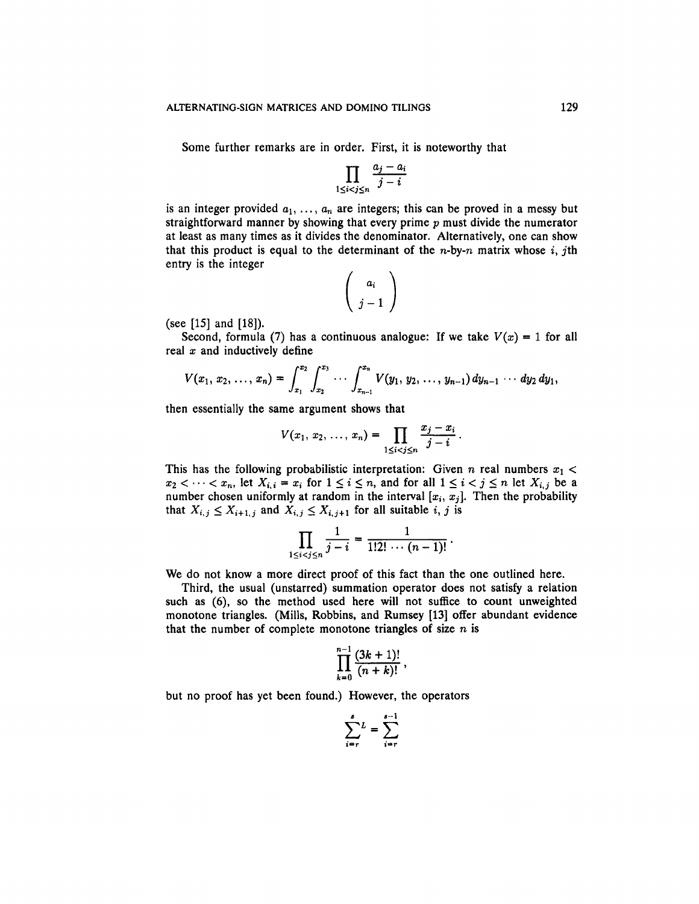Some further remarks are in order. First, it is noteworthy that

$$
\prod_{1 \leq i < j \leq n} \frac{a_j - a_i}{j - i}
$$

is an integer provided  $a_1, \ldots, a_n$  are integers; this can be proved in a messy but straightforward manner by showing that every prime *p* must divide the numerator at least as many times as it divides the denominator. Alternatively, one can show that this product is equal to the determinant of the *n*-by-*n* matrix whose i, jth entry is the integer  $\overline{ }$ 

$$
\left(\begin{array}{c}a_i\\j-1\end{array}\right)
$$

(see [15] and [18]).

Second, formula (7) has a continuous analogue: If we take  $V(x) = 1$  for all real *x* and inductively define

$$
V(x_1, x_2, \ldots, x_n) = \int_{x_1}^{x_2} \int_{x_2}^{x_3} \cdots \int_{x_{n-1}}^{x_n} V(y_1, y_2, \ldots, y_{n-1}) dy_{n-1} \cdots dy_2 dy_1,
$$

then essentially the same argument shows that

$$
V(x_1, x_2, ..., x_n) = \prod_{1 \leq i < j \leq n} \frac{x_j - x_i}{j - i} \, .
$$

This has the following probabilistic interpretation: Given *n* real numbers  $x_1$  <  $x_2 < \cdots < x_n$ , let  $X_{i,i} = x_i$  for  $1 \le i \le n$ , and for all  $1 \le i < j \le n$  let  $X_{i,j}$  be a number chosen uniformly at random in the interval  $[x_i, x_j]$ . Then the probability that  $X_{i,j} \leq X_{i+1,j}$  and  $X_{i,j} \leq X_{i,j+1}$  for all suitable *i, j* is

$$
\prod_{1 \leq i < j \leq n} \frac{1}{j - i} = \frac{1}{1!2! \cdots (n - 1)!} \, .
$$

We do not know a more direct proof of this fact than the one outlined here.

Third, the usual (unstarred) summation operator does not satisfy a relation such as (6), so the method used here will not suffice to count unweighted monotone triangles. (Mills, Robbins, and Rumsey [13] offer abundant evidence that the number of complete monotone triangles of size  $n$  is

$$
\prod_{k=0}^{n-1} \frac{(3k+1)!}{(n+k)!}
$$

but no proof has yet been found.) However, the operators

$$
\sum_{i=r}^{s} L = \sum_{i=r}^{s-1}
$$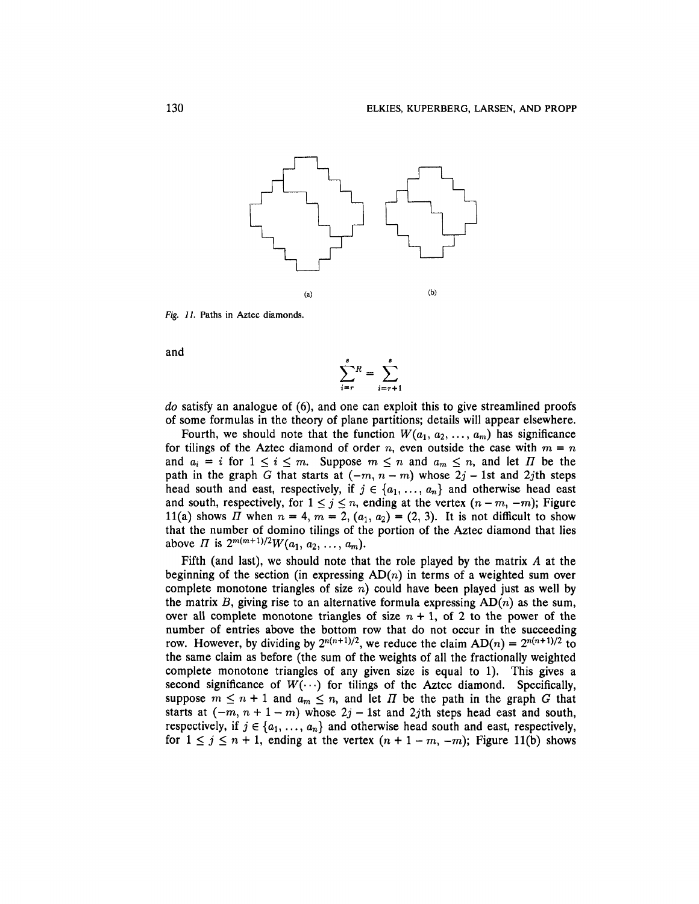

Fig. *11.* Paths in Aztec diamonds.

and

$$
\sum_{i=r}^{s} R = \sum_{i=r+1}^{s}
$$

*do* satisfy an analogue of (6), and one can exploit this to give streamlined proofs of some formulas in the theory of plane partitions; details will appear elsewhere.

Fourth, we should note that the function  $W(a_1, a_2, \ldots, a_m)$  has significance for tilings of the Aztec diamond of order n, even outside the case with  $m = n$ and  $a_i = i$  for  $1 \leq i \leq m$ . Suppose  $m \leq n$  and  $a_m \leq n$ , and let  $\Pi$  be the path in the graph *G* that starts at  $(-m, n - m)$  whose  $2j - 1$ st and  $2j$ th steps head south and east, respectively, if  $j \in \{a_1, \ldots, a_n\}$  and otherwise head east and south, respectively, for  $1 \leq j \leq n$ , ending at the vertex  $(n - m, -m)$ ; Figure 11(a) shows *II* when  $n = 4$ ,  $m = 2$ ,  $(a_1, a_2) = (2, 3)$ . It is not difficult to show that the number of domino tilings of the portion of the Aztec diamond that lies above *H* is  $2^{m(m+1)/2}W(a_1, a_2, ..., a_m)$ .

Fifth (and last), we should note that the role played by the matrix *A* at the beginning of the section (in expressing  $AD(n)$  in terms of a weighted sum over complete monotone triangles of size  $n$ ) could have been played just as well by the matrix  $B$ , giving rise to an alternative formula expressing  $AD(n)$  as the sum, over all complete monotone triangles of size  $n + 1$ , of 2 to the power of the number of entries above the bottom row that do not occur in the succeeding row. However, by dividing by  $2^{n(n+1)/2}$ , we reduce the claim  $AD(n) = 2^{n(n+1)/2}$  to the same claim as before (the sum of the weights of all the fractionally weighted complete monotone triangles of any given size is equal to 1). This gives a second significance of  $W(\cdots)$  for tilings of the Aztec diamond. Specifically, suppose  $m \leq n + 1$  and  $a_m \leq n$ , and let  $\Pi$  be the path in the graph  $G$  that starts at  $(-m, n + 1 - m)$  whose  $2j - 1$ st and  $2j$ th steps head east and south, respectively, if  $j \in \{a_1, \ldots, a_n\}$  and otherwise head south and east, respectively, for  $1 \le j \le n + 1$ , ending at the vertex  $(n + 1 - m, -m)$ ; Figure 11(b) shows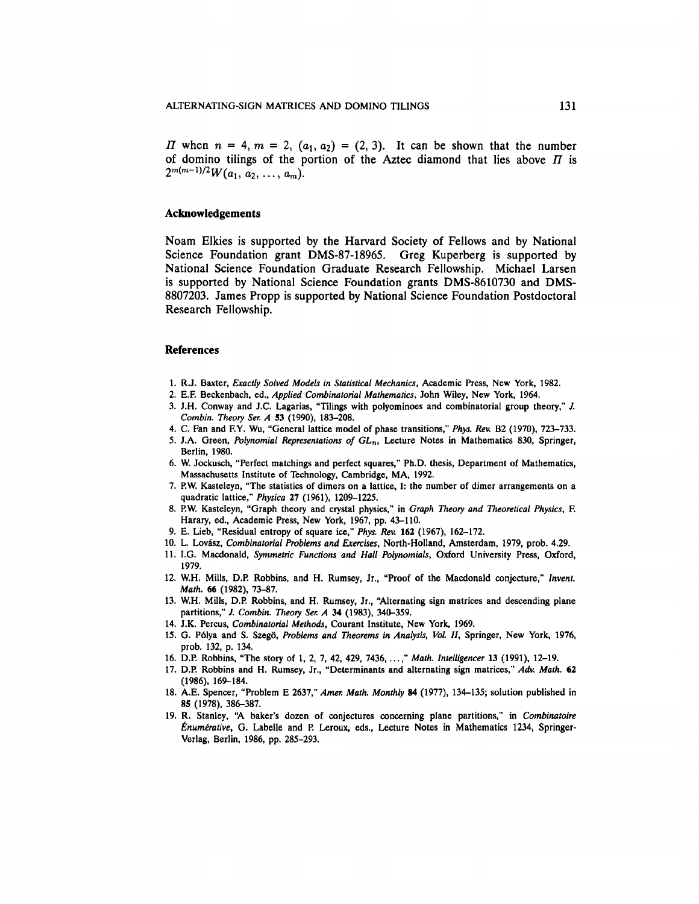*II* when  $n = 4, m = 2, (a_1, a_2) = (2, 3)$ . It can be shown that the number of domino tilings of the portion of the Aztec diamond that lies above  $\Pi$  is  $2^{m(m-1)/2} W(a_1, a_2, \ldots, a_m)$ 

## **Acknowledgements**

Noam Elkies is supported by the Harvard Society of Fellows and by National Science Foundation grant DMS-87-18965. Greg Kuperberg is supported by National Science Foundation Graduate Research Fellowship. Michael Larsen is supported by National Science Foundation grants DMS-8610730 and DMS-8807203. James Propp is supported by National Science Foundation Postdoctoral Research Fellowship.

### **References**

- 1. R.J. Baxter, *Exactly Solved Models in Statistical Mechanics,* Academic Press, New York, 1982.
- 2. E.F. Beckenbach, ed., *Applied Combinatorial Mathematics,* John Wiley, New York, 1964.
- 3. J.H. Conway and J.C. Lagarias, "Tilings with polyominoes and combinatorial group theory," *J. Combin. Theory Ser. A* 53 (1990), 183-208.
- 4. C. Fan and F.Y. Wu, "General lattice model of phase transitions," *Phys. Rev.* B2 (1970), 723-733.
- 5. J.A. Green, *Polynomial Representations of GLn,* Lecture Notes in Mathematics 830, Springer, Berlin, 1980.
- 6. W. Jockusch, "Perfect matchings and perfect squares," Ph.D. thesis, Department of Mathematics, Massachusetts Institute of Technology, Cambridge, MA, 1992.
- 7. P.W. Kasteleyn, "The statistics of dimers on a lattice, I: the number of dimer arrangements on a quadratic lattice," *Physica* 27 (1961), 1209-1225.
- 8. P.W. Kasteleyn, "Graph theory and crystal physics," in *Graph Theory and Theoretical Physics,* F. Harary, ed., Academic Press, New York, 1967, pp. 43-110.
- 9. E. Lieb, "Residual entropy of square ice," *Phys. Rev.* 162 (1967), 162-172.
- 10. L. Lovasz, *Combinatorial Problems and Exercises,* North-Holland, Amsterdam, 1979, prob. 4.29.
- 11. I.G. Macdonald, *Symmetric Functions and Hall Polynomials,* Oxford University Press, Oxford, 1979.
- 12. W.H. Mills, D.P. Robbins, and H. Rumsey, Jr., "Proof of the Macdonald conjecture," *Invent. Math. 66* (1982), 73-87.
- 13. W.H. Mills, D.P. Robbins, and H. Rumsey, Jr., "Alternating sign matrices and descending plane partitions," *I Combin. Theory Ser. A* 34 (1983), 340-359.
- 14. J.K. Percus, *Combinatorial Methods,* Courant Institute, New York, 1969.
- 15. G. P61ya and S. Szego, *Problems and Theorems in Analysis, Vol. II,* Springer, New York, 1976, prob. 132, p. 134.
- 16. D.P. Robbins, "The story of 1, 2, 7, 42, 429, 7436, ...," Math. Intelligencer 13 (1991), 12-19.
- 17. D.P. Robbins and H. Rumsey, Jr., "Determinants and alternating sign matrices," *Adv. Math.* 62 (1986), 169-184.
- 18. A.E. Spencer, "Problem E 2637," *Amer. Math. Monthly* 84 (1977), 134-135; solution published in 85 (1978), 386-387.
- 19. R. Stanley, "A baker's dozen of conjectures concerning plane partitions," in *Combinatoire Enumerative,* G. Labelle and P. Leroux, eds., Lecture Notes in Mathematics 1234, Springer-Verlag, Berlin, 1986, pp. 285-293.